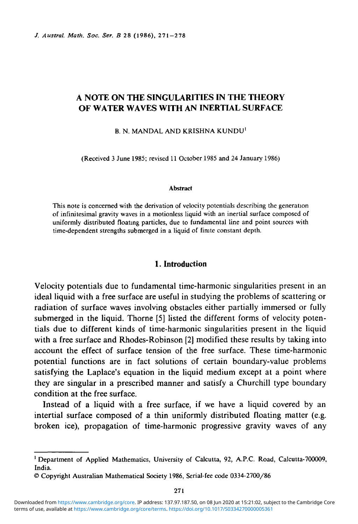# **A NOTE ON THE SINGULARITIES IN THE THEORY OF WATER WAVES WITH AN INERTIAL SURFACE**

B. N. MANDAL AND KRISHNA KUNDU<sup>1</sup>

(Received 3 June 1985; revised 11 October 1985 and 24 January 1986)

#### Abstract

This note is concerned with the derivation of velocity potentials describing the generation of infinitesimal gravity waves in a motionless liquid with an inertial surface composed of uniformly distributed floating particles, due to fundamental line and point sources with time-dependent strengths submerged in a liquid of fimte constant depth.

## **1. Introduction**

Velocity potentials due to fundamental time-harmonic singularities present in an ideal liquid with a free surface are useful in studying the problems of scattering or radiation of surface waves involving obstacles either partially immersed or fully submerged in the liquid. Thorne [5] listed the different forms of velocity potentials due to different kinds of time-harmonic singularities present in the liquid with a free surface and Rhodes-Robinson [2] modified these results by taking into account the effect of surface tension of the free surface. These time-harmonic potential functions are in fact solutions of certain boundary-value problems satisfying the Laplace's equation in the liquid medium except at a point where they are singular in a prescribed manner and satisfy a Churchill type boundary condition at the free surface.

Instead of a liquid with a free surface, if we have a liquid covered by an intertial surface composed of a thin uniformly distributed floating matter (e.g. broken ice), propagation of time-harmonic progressive gravity waves of any

<sup>&</sup>lt;sup>1</sup> Department of Applied Mathematics, University of Calcutta, 92, A.P.C. Road, Calcutta-700009, India.

<sup>©</sup> Copyright Australian Mathematical Society 1986, Serial-fee code 0334-2700/86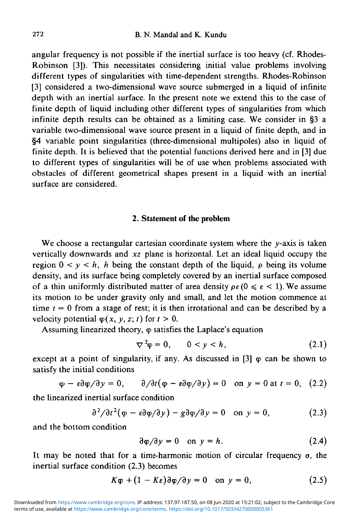angular frequency is not possible if the inertial surface is too heavy (cf. Rhodes-Robinson [3]). This necessitates considering initial value problems involving different types of singularities with time-dependent strengths. Rhodes-Robinson [3] considered a two-dimensional wave source submerged in a liquid of infinite depth with an inertial surface. In the present note we extend this to the case of finite depth of liquid including other different types of singularities from which infinite depth results can be obtained as a limiting case. We consider in §3 a variable two-dimensional wave source present in a liquid of finite depth, and in §4 variable point singularities (three-dimensional multipoles) also in liquid of finite depth. It is believed that the potential functions derived here and in [3] due to different types of singularities will be of use when problems associated with obstacles of different geometrical shapes present in a liquid with an inertial surface are considered.

### **2. Statement of the problem**

We choose a rectangular cartesian coordinate system where the  $y$ -axis is taken vertically downwards and *xz* plane is horizontal. Let an ideal liquid occupy the region  $0 < y < h$ , h being the constant depth of the liquid,  $\rho$  being its volume density, and its surface being completely covered by an inertial surface composed of a thin uniformly distributed matter of area density  $\rho \epsilon (0 \le \epsilon \le 1)$ . We assume its motion to be under gravity only and small, and let the motion commence at time  $t = 0$  from a stage of rest; it is then irrotational and can be described by a velocity potential  $\varphi(x, y, z; t)$  for  $t > 0$ .

Assuming linearized theory,  $\varphi$  satisfies the Laplace's equation

$$
\nabla^2 \varphi = 0, \qquad 0 < y < h,\tag{2.1}
$$

except at a point of singularity, if any. As discussed in [3]  $\varphi$  can be shown to satisfy the initial conditions

$$
\varphi - \varepsilon \partial \varphi / \partial y = 0, \qquad \partial / \partial t (\varphi - \varepsilon \partial \varphi / \partial y) = 0 \quad \text{on } y = 0 \text{ at } t = 0, \tag{2.2}
$$

the linearized inertial surface condition

$$
\frac{\partial^2}{\partial t^2}(\varphi - \varepsilon \frac{\partial \varphi}{\partial y}) - g \frac{\partial \varphi}{\partial y} = 0 \quad \text{on } y = 0, \tag{2.3}
$$

and the bottom condition

$$
\frac{\partial \varphi}{\partial y} = 0 \quad \text{on } y = h. \tag{2.4}
$$

It may be noted that for a time-harmonic motion of circular frequency  $\sigma$ , the inertial surface condition (2.3) becomes

$$
K\varphi + (1 - K\varepsilon)\partial\varphi/\partial y = 0 \quad \text{on } y = 0,
$$
 (2.5)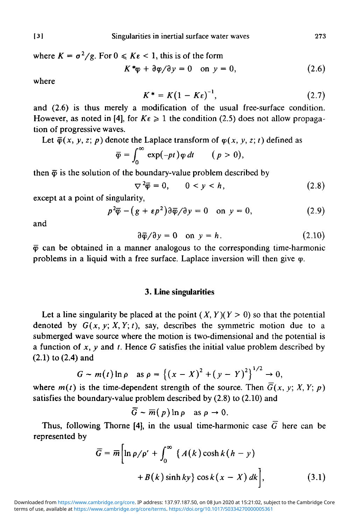where  $K = \sigma^2/g$ . For  $0 \le K\varepsilon < 1$ , this is of the form

$$
K^*\varphi + \partial\varphi/\partial y = 0 \quad \text{on } y = 0,
$$
 (2.6)

where

$$
K^* = K(1 - K\epsilon)^{-1}, \qquad (2.7)
$$

and (2.6) is thus merely a modification of the usual free-surface condition. However, as noted in [4], for  $K \varepsilon \geq 1$  the condition (2.5) does not allow propagation of progressive waves.

Let  $\bar{\varphi}(x, y, z; p)$  denote the Laplace transform of  $\varphi(x, y, z; t)$  defined as

$$
\overline{\varphi} = \int_0^\infty \exp(-pt) \varphi \, dt \qquad (p > 0)
$$

then  $\bar{\varphi}$  is the solution of the boundary-value problem described by

$$
\nabla^2 \overline{\varphi} = 0, \qquad 0 < y < h,\tag{2.8}
$$

except at a point of singularity,

$$
p^2 \overline{\varphi} - (g + \varepsilon p^2) \partial \overline{\varphi} / \partial y = 0 \quad \text{on } y = 0,
$$
 (2.9)

and

$$
\partial \bar{\varphi}/\partial y = 0 \quad \text{on } y = h. \tag{2.10}
$$

 $\bar{\varphi}$  can be obtained in a manner analogous to the corresponding time-harmonic problems in a liquid with a free surface. Laplace inversion will then give  $\varphi$ .

### **3. Line singularities**

Let a line singularity be placed at the point  $(X, Y)(Y > 0)$  so that the potential denoted by  $G(x, y; X, Y; t)$ , say, describes the symmetric motion due to a submerged wave source where the motion is two-dimensional and the potential is a function of *x, y* and *t.* Hence *G* satisfies the initial value problem described by (2.1) to (2.4) and

$$
G \sim m(t) \ln \rho \quad \text{as } \rho = \left\{ (x - X)^2 + (y - Y)^2 \right\}^{1/2} \to 0,
$$

where  $m(t)$  is the time-dependent strength of the source. Then  $\overline{G}(x, y; X, Y; p)$ satisfies the boundary-value problem described by (2.8) to (2.10) and

$$
\overline{G} \sim \overline{m}(p) \ln p \quad \text{as } p \to 0.
$$

Thus, following Thorne [4], in the usual time-harmonic case  $\overline{G}$  here can be represented by

$$
\overline{G} = \overline{m} \Big[ \ln \rho / \rho' + \int_0^\infty \left\{ A(k) \cosh k (h - y) \right. \\ + B(k) \sinh ky \} \cos k (x - X) dk \Big], \tag{3.1}
$$

terms of use, available at [https://www.cambridge.org/core/terms.](https://www.cambridge.org/core/terms) <https://doi.org/10.1017/S0334270000005361> Downloaded from [https://www.cambridge.org/core.](https://www.cambridge.org/core) IP address: 137.97.187.50, on 08 Jun 2020 at 15:21:02, subject to the Cambridge Core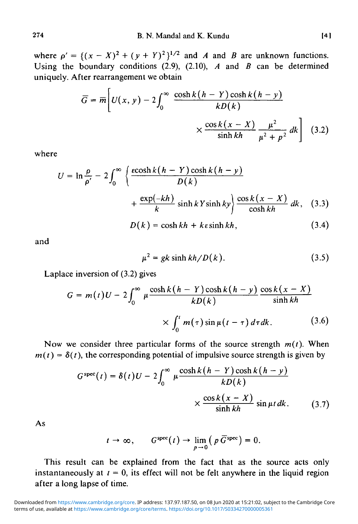where  $\rho' = \{(x - X)^2 + (y + Y)^2\}^{1/2}$  and *A* and *B* are unknown functions. Using the boundary conditions (2.9), (2.10), *A* and *B* can be determined uniquely. After rearrangement we obtain

$$
\overline{G} = \overline{m} \left[ U(x, y) - 2 \int_0^\infty \frac{\cosh k (h - Y) \cosh k (h - y)}{k D(k)} \times \frac{\cosh k (x - X)}{\sinh kh} \frac{\mu^2}{\mu^2 + p^2} dk \right] (3.2)
$$

where

$$
U = \ln \frac{\rho}{\rho'} - 2 \int_0^\infty \left\{ \frac{\cosh k (h - Y) \cosh k (h - y)}{D(k)} + \frac{\exp(-kh)}{k} \sinh k \sinh ky \right\} \frac{\cos k (x - X)}{\cosh kh} dk, \quad (3.3)
$$

$$
D(k) = \cosh kh + k \sinh kh, \quad (3.4)
$$

and

$$
\mu^2 = gk \sinh kh/D(k). \tag{3.5}
$$

Laplace inversion of (3.2) gives

$$
G = m(t)U - 2\int_0^\infty \mu \frac{\cosh k(h - Y) \cosh k(h - y)}{kD(k)} \frac{\cos k(x - X)}{\sinh kh}
$$

$$
\times \int_0^t m(\tau) \sin \mu(t - \tau) d\tau dk. \tag{3.6}
$$

Now we consider three particular forms of the source strength  $m(t)$ . When  $m(t) = \delta(t)$ , the corresponding potential of impulsive source strength is given by

$$
G^{\text{spec}}(t) = \delta(t)U - 2\int_0^\infty \mu \frac{\cosh k(h - Y)\cosh k(h - y)}{kD(k)} \times \frac{\cos k(x - X)}{\sinh kh} \sin \mu t \, dk. \tag{3.7}
$$

As

$$
t \to \infty
$$
,  $G^{spec}(t) \to \lim_{p \to 0} (p \overline{G}^{spec}) = 0$ .

This result can be explained from the fact that as the source acts only instantaneously at  $t = 0$ , its effect will not be felt anywhere in the liquid region after a long lapse of time.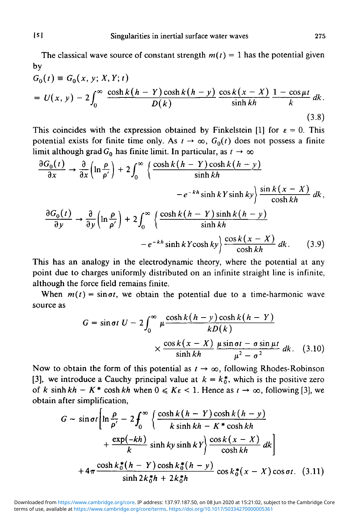The classical wave source of constant strength  $m(t) = 1$  has the potential given by

$$
G_0(t) \equiv G_0(x, y; X, Y; t)
$$
  
= 
$$
U(x, y) - 2 \int_0^\infty \frac{\cosh k (h - Y) \cosh k (h - y)}{D(k)} \frac{\cos k (x - X)}{\sinh kh} \frac{1 - \cos \mu t}{k} dk.
$$
 (3.8)

This coincides with the expression obtained by Finkelstein [1] for  $\varepsilon = 0$ . This potential exists for finite time only. As  $t \to \infty$ ,  $G_0(t)$  does not possess a finite limit although grad  $G_0$  has finite limit. In particular, as  $t \to \infty$ 

$$
\frac{\partial G_0(t)}{\partial x} \to \frac{\partial}{\partial x} \left( \ln \frac{\rho}{\rho'} \right) + 2 \int_0^\infty \left\{ \frac{\cosh k (h - Y) \cosh k (h - y)}{\sinh kh} - e^{-kh} \sinh ky \right\} \frac{\sin k (x - X)}{\cosh kh} dk,
$$
  

$$
\frac{\partial G_0(t)}{\partial y} \to \frac{\partial}{\partial y} \left( \ln \frac{\rho}{\rho'} \right) + 2 \int_0^\infty \left\{ \frac{\cosh k (h - Y) \sinh k (h - y)}{\sinh kh} - e^{-kh} \sinh kh \right\} \frac{\cos k (x - X)}{\cosh kh} dk.
$$
(3.9)

This has an analogy in the electrodynamic theory, where the potential at any point due to charges uniformly distributed on an infinite straight line is infinite, although the force field remains finite.

When  $m(t) = \sin \sigma t$ , we obtain the potential due to a time-harmonic wave source as

$$
G = \sin \sigma t \ U - 2 \int_0^\infty \mu \frac{\cosh k (h - y) \cosh k (h - Y)}{k D(k)}
$$

$$
\times \frac{\cos k (x - X)}{\sinh kh} \frac{\mu \sin \sigma t - \sigma \sin \mu t}{\mu^2 - \sigma^2} dk. \quad (3.10)
$$

Now to obtain the form of this potential as  $t \to \infty$ , following Rhodes-Robinson [3], we introduce a Cauchy principal value at  $k = k_0^*$ , which is the positive zero of *k* sinh  $kh - K^*$  cosh *kh* when  $0 \le K\varepsilon < 1$ . Hence as  $t \to \infty$ , following [3], we obtain after simplification,

$$
G \sim \sin \sigma t \left[ \ln \frac{\rho}{\rho'} - 2 \int_0^\infty \left\{ \frac{\cosh k (h - Y) \cosh k (h - y)}{k \sinh kh - K^* \cosh kh} + \frac{\exp(-kh)}{k} \sinh ky \sinh kY \right\} \frac{\cos k (x - X)}{\cosh kh} dk \right]
$$
  
+  $4\pi \frac{\cosh k_0^*(h - Y) \cosh k_0^*(h - y)}{\sinh 2k_0^* h + 2k_0^* h} \cos k_0^*(x - X) \cos \sigma t. \quad (3.11)$ 

terms of use, available at [https://www.cambridge.org/core/terms.](https://www.cambridge.org/core/terms) <https://doi.org/10.1017/S0334270000005361> Downloaded from [https://www.cambridge.org/core.](https://www.cambridge.org/core) IP address: 137.97.187.50, on 08 Jun 2020 at 15:21:02, subject to the Cambridge Core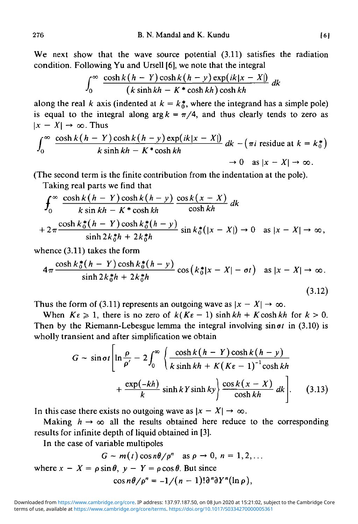We next show that the wave source potential  $(3.11)$  satisfies the radiation condition. Following Yu and Ursell [6], we note that the integral

$$
\int_0^\infty \frac{\cosh k(h-Y) \cosh k(h-y) \exp(ik|x-X|)}{(k \sinh kh - K * \cosh kh) \cosh kh} dk
$$

along the real *k* axis (indented at  $k = k_0^*$ , where the integrand has a simple pole) is equal to the integral along  $\arg k = \pi/4$ , and thus clearly tends to zero as  $|x - X| \rightarrow \infty$ . Thus

$$
\int_0^\infty \frac{\cosh k(h - Y) \cosh k(h - y) \exp(ik|x - X|)}{k \sinh kh - K^* \cosh kh} dk - (\pi i \text{ residue at } k = k_0^*)
$$
  

$$
\to 0 \text{ as } |x - X| \to \infty.
$$

(The second term is the finite contribution from the indentation at the pole).

Taking real parts we find that

$$
\int_0^\infty \frac{\cosh k(h - Y) \cosh k(h - y)}{k \sin kh - K \cdot \cosh kh} \frac{\cos k(x - X)}{\cosh kh} dk
$$
  
+  $2\pi \frac{\cosh k_0^*(h - Y) \cosh k_0^*(h - y)}{\sinh 2k_0^*h + 2k_0^*h} \sin k_0^*(|x - X|) \to 0 \text{ as } |x - X| \to \infty,$ 

whence (3.11) takes the form

$$
4\pi \frac{\cosh k_0^*(h-Y)\cosh k_0^*(h-y)}{\sinh 2k_0^*h+2k_0^*h}\cos \left(k_0^*|x-X|-\sigma t\right) \text{ as } |x-X| \to \infty.
$$
\n(3.12)

Thus the form of (3.11) represents an outgoing wave as  $|x - X| \rightarrow \infty$ .

When  $K\varepsilon \geq 1$ , there is no zero of  $k(K\varepsilon - 1)$  sinh  $kh + K \cosh kh$  for  $k > 0$ . Then by the Riemann-Lebesgue lemma the integral involving  $sin \sigma t$  in (3.10) is wholly transient and after simplification we obtain

$$
G \sim \sin \sigma t \left[ \ln \frac{\rho}{\rho'} - 2 \int_0^\infty \left\{ \frac{\cosh k (h - Y) \cosh k (h - y)}{k \sinh kh + K (K\epsilon - 1)^{-1} \cosh kh} + \frac{\exp(-kh)}{k} \sinh kY \sinh ky \right\} \frac{\cos k (x - X)}{\cosh kh} dk \right].
$$
 (3.13)

In this case there exists no outgoing wave as  $|x - X| \to \infty$ .

Making  $h \rightarrow \infty$  all the results obtained here reduce to the corresponding results for infinite depth of liquid obtained in [3].

In the case of variable multipoles

$$
G \sim m(t) \cos n\theta / \rho^n \quad \text{as } \rho \to 0, \ n = 1, 2, \dots
$$
  
where  $x - X = \rho \sin \theta$ ,  $y - Y = \rho \cos \theta$ . But since  

$$
\cos n\theta / \rho^n = -1 / (n - 1)! \partial^n \partial Y^n (\ln \rho),
$$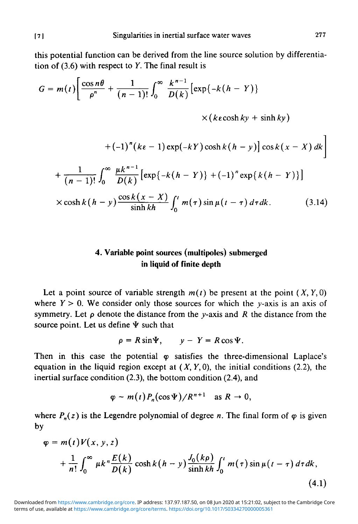this potential function can be derived from the line source solution by differentiation of (3.6) with respect to *Y.* The final result is

$$
G = m(t) \left[ \frac{\cos n\theta}{\rho^n} + \frac{1}{(n-1)!} \int_0^\infty \frac{k^{n-1}}{D(k)} \left[ \exp\{-k(h - Y)\}\right] \right.
$$
  

$$
\times (k\epsilon \cosh ky + \sinh ky)
$$
  

$$
+ (-1)^n (k\epsilon - 1) \exp(-kY) \cosh k(h - y) \left] \cos k(x - X) dk \right]
$$
  

$$
+ \frac{1}{(n-1)!} \int_0^\infty \frac{\mu k^{n-1}}{D(k)} \left[ \exp\{-k(h - Y)\} + (-1)^n \exp\{k(h - Y)\} \right]
$$

$$
\times \cosh k(h-y) \frac{\cos k(x-X)}{\sinh kh} \int_0^t m(\tau) \sin \mu(t-\tau) d\tau dk. \tag{3.14}
$$

# **4. Variable point sources (multipoles) submerged in liquid of finite depth**

Let a point source of variable strength  $m(t)$  be present at the point  $(X, Y, 0)$ where  $Y > 0$ . We consider only those sources for which the  $\gamma$ -axis is an axis of symmetry. Let  $\rho$  denote the distance from the y-axis and R the distance from the source point. Let us define  $\Psi$  such that

$$
\rho = R \sin \Psi, \qquad y - Y = R \cos \Psi.
$$

Then in this case the potential  $\varphi$  satisfies the three-dimensional Laplace's equation in the liquid region except at *(X, Y,0),* the initial conditions (2.2), the inertial surface condition (2.3), the bottom condition (2.4), and

$$
\varphi \sim m(t) P_n(\cos \Psi)/R^{n+1} \text{ as } R \to 0,
$$

where  $P_n(z)$  is the Legendre polynomial of degree *n*. The final form of  $\varphi$  is given by

$$
\varphi = m(t)V(x, y, z)
$$
  
+ 
$$
\frac{1}{n!} \int_0^\infty \mu k^n \frac{E(k)}{D(k)} \cosh k(h-y) \frac{J_0(k\rho)}{\sinh kh} \int_0^t m(\tau) \sin \mu(t-\tau) d\tau dk,
$$
  
(4.1)

terms of use, available at [https://www.cambridge.org/core/terms.](https://www.cambridge.org/core/terms) <https://doi.org/10.1017/S0334270000005361> Downloaded from [https://www.cambridge.org/core.](https://www.cambridge.org/core) IP address: 137.97.187.50, on 08 Jun 2020 at 15:21:02, subject to the Cambridge Core